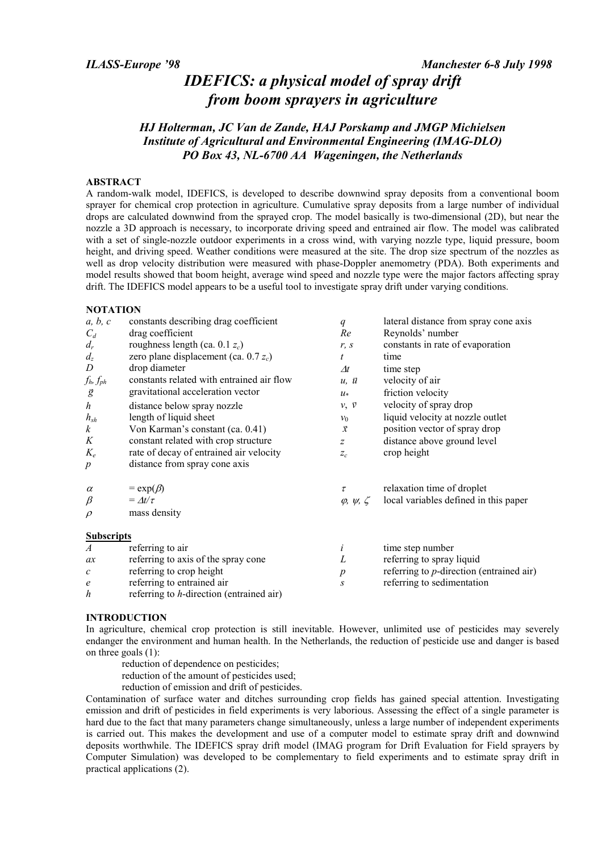# IDEFICS: a physical model of spray drift from boom sprayers in agriculture

# HJ Holterman, JC Van de Zande, HAJ Porskamp and JMGP Michielsen Institute of Agricultural and Environmental Engineering (IMAG-DLO) PO Box 43, NL-6700 AA Wageningen, the Netherlands

#### ABSTRACT

A random-walk model, IDEFICS, is developed to describe downwind spray deposits from a conventional boom sprayer for chemical crop protection in agriculture. Cumulative spray deposits from a large number of individual drops are calculated downwind from the sprayed crop. The model basically is two-dimensional (2D), but near the nozzle a 3D approach is necessary, to incorporate driving speed and entrained air flow. The model was calibrated with a set of single-nozzle outdoor experiments in a cross wind, with varying nozzle type, liquid pressure, boom height, and driving speed. Weather conditions were measured at the site. The drop size spectrum of the nozzles as well as drop velocity distribution were measured with phase-Doppler anemometry (PDA). Both experiments and model results showed that boom height, average wind speed and nozzle type were the major factors affecting spray drift. The IDEFICS model appears to be a useful tool to investigate spray drift under varying conditions.

#### **NOTATION**

| a, b, c                     | constants describing drag coefficient     | $\boldsymbol{q}$             | lateral distance from spray cone axis       |
|-----------------------------|-------------------------------------------|------------------------------|---------------------------------------------|
| $C_d$                       | drag coefficient                          | Re                           | Reynolds' number                            |
| $d_r$                       | roughness length (ca. 0.1 $z_c$ )         | r, s                         | constants in rate of evaporation            |
| $d_z$                       | zero plane displacement (ca. $0.7 z_c$ )  | t                            | time                                        |
| D                           | drop diameter                             | $\varDelta t$                | time step                                   |
| $f_h, f_{ph}$               | constants related with entrained air flow | $u, \bar{u}$                 | velocity of air                             |
| ğ                           | gravitational acceleration vector         | $u*$                         | friction velocity                           |
| $\boldsymbol{h}$            | distance below spray nozzle               | $\nu, \vec{\nu}$             | velocity of spray drop                      |
| $h_{sh}$                    | length of liquid sheet                    | $v_0$                        | liquid velocity at nozzle outlet            |
| $\boldsymbol{k}$            | Von Karman's constant (ca. 0.41)          | $\vec{x}$                    | position vector of spray drop               |
| K                           | constant related with crop structure      | $\overline{z}$               | distance above ground level                 |
| $K_e$                       | rate of decay of entrained air velocity   | $Z_c$                        | crop height                                 |
| $\boldsymbol{p}$            | distance from spray cone axis             |                              |                                             |
| $\alpha$                    | $= \exp(\beta)$                           | τ                            | relaxation time of droplet                  |
| $\beta$                     | $= \Delta t / \tau$                       | $\varphi$ , $\psi$ , $\zeta$ | local variables defined in this paper       |
| $\rho$                      | mass density                              |                              |                                             |
| <b>Subscripts</b>           |                                           |                              |                                             |
| $\boldsymbol{A}$            | referring to air                          | i                            | time step number                            |
| ax                          | referring to axis of the spray cone       | L                            | referring to spray liquid                   |
| $\mathcal{C}_{\mathcal{C}}$ | referring to crop height                  | р                            | referring to $p$ -direction (entrained air) |

- referring to crop height e referring to entrained air
- $h$  referring to  $h$ -direction (entrained air)

#### INTRODUCTION

In agriculture, chemical crop protection is still inevitable. However, unlimited use of pesticides may severely endanger the environment and human health. In the Netherlands, the reduction of pesticide use and danger is based on three goals (1):

s referring to sedimentation

- reduction of dependence on pesticides;
- reduction of the amount of pesticides used;

reduction of emission and drift of pesticides.

Contamination of surface water and ditches surrounding crop fields has gained special attention. Investigating emission and drift of pesticides in field experiments is very laborious. Assessing the effect of a single parameter is hard due to the fact that many parameters change simultaneously, unless a large number of independent experiments is carried out. This makes the development and use of a computer model to estimate spray drift and downwind deposits worthwhile. The IDEFICS spray drift model (IMAG program for Drift Evaluation for Field sprayers by Computer Simulation) was developed to be complementary to field experiments and to estimate spray drift in practical applications (2).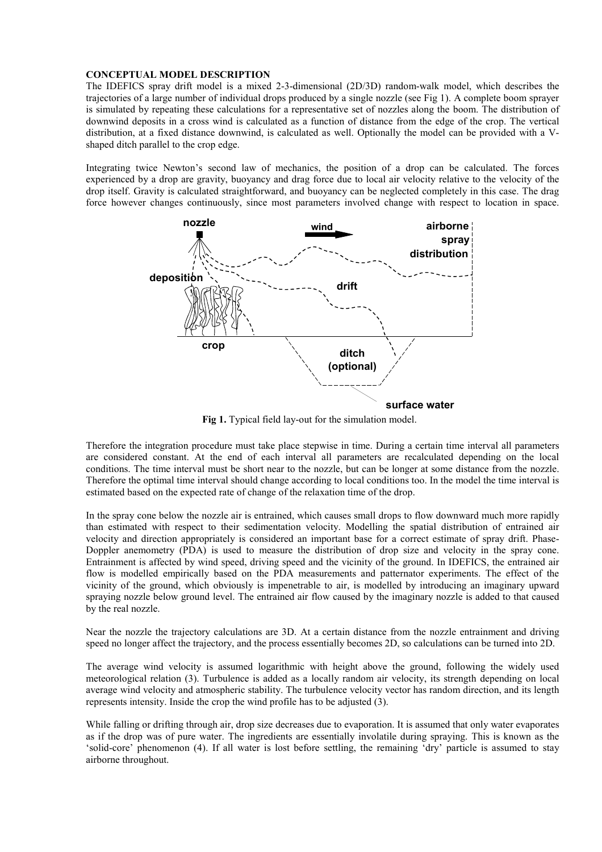#### CONCEPTUAL MODEL DESCRIPTION

The IDEFICS spray drift model is a mixed 2-3-dimensional (2D/3D) random-walk model, which describes the trajectories of a large number of individual drops produced by a single nozzle (see Fig 1). A complete boom sprayer is simulated by repeating these calculations for a representative set of nozzles along the boom. The distribution of downwind deposits in a cross wind is calculated as a function of distance from the edge of the crop. The vertical distribution, at a fixed distance downwind, is calculated as well. Optionally the model can be provided with a Vshaped ditch parallel to the crop edge.

Integrating twice Newton's second law of mechanics, the position of a drop can be calculated. The forces experienced by a drop are gravity, buoyancy and drag force due to local air velocity relative to the velocity of the drop itself. Gravity is calculated straightforward, and buoyancy can be neglected completely in this case. The drag force however changes continuously, since most parameters involved change with respect to location in space.



Fig 1. Typical field lay-out for the simulation model.

Therefore the integration procedure must take place stepwise in time. During a certain time interval all parameters are considered constant. At the end of each interval all parameters are recalculated depending on the local conditions. The time interval must be short near to the nozzle, but can be longer at some distance from the nozzle. Therefore the optimal time interval should change according to local conditions too. In the model the time interval is estimated based on the expected rate of change of the relaxation time of the drop.

In the spray cone below the nozzle air is entrained, which causes small drops to flow downward much more rapidly than estimated with respect to their sedimentation velocity. Modelling the spatial distribution of entrained air velocity and direction appropriately is considered an important base for a correct estimate of spray drift. Phase-Doppler anemometry (PDA) is used to measure the distribution of drop size and velocity in the spray cone. Entrainment is affected by wind speed, driving speed and the vicinity of the ground. In IDEFICS, the entrained air flow is modelled empirically based on the PDA measurements and patternator experiments. The effect of the vicinity of the ground, which obviously is impenetrable to air, is modelled by introducing an imaginary upward spraying nozzle below ground level. The entrained air flow caused by the imaginary nozzle is added to that caused by the real nozzle.

Near the nozzle the trajectory calculations are 3D. At a certain distance from the nozzle entrainment and driving speed no longer affect the trajectory, and the process essentially becomes 2D, so calculations can be turned into 2D.

The average wind velocity is assumed logarithmic with height above the ground, following the widely used meteorological relation (3). Turbulence is added as a locally random air velocity, its strength depending on local average wind velocity and atmospheric stability. The turbulence velocity vector has random direction, and its length represents intensity. Inside the crop the wind profile has to be adjusted (3).

While falling or drifting through air, drop size decreases due to evaporation. It is assumed that only water evaporates as if the drop was of pure water. The ingredients are essentially involatile during spraying. This is known as the 'solid-core' phenomenon (4). If all water is lost before settling, the remaining 'dry' particle is assumed to stay airborne throughout.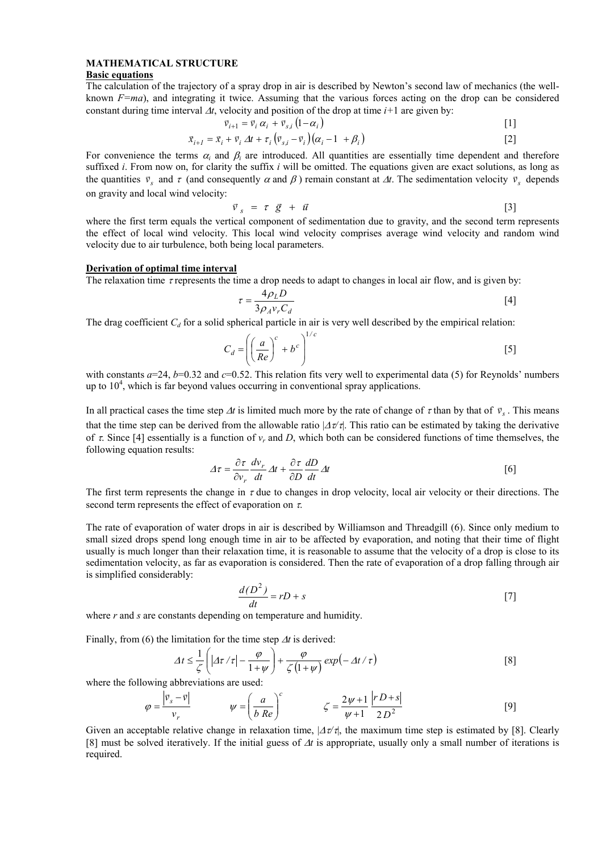### MATHEMATICAL STRUCTURE

#### Basic equations

The calculation of the trajectory of a spray drop in air is described by Newton's second law of mechanics (the wellknown  $F=ma$ ), and integrating it twice. Assuming that the various forces acting on the drop can be considered constant during time interval  $\Delta t$ , velocity and position of the drop at time  $i+1$  are given by:

$$
\vec{v}_{i+1} = \vec{v}_i \, \alpha_i + \vec{v}_{s,i} \left( 1 - \alpha_i \right) \tag{1}
$$

$$
\vec{x}_{i+1} = \vec{x}_i + \vec{v}_i \Delta t + \tau_i \left( \vec{v}_{s,i} - \vec{v}_i \right) \left( \alpha_i - 1 + \beta_i \right)
$$
\n
$$
\tag{2}
$$

For convenience the terms  $\alpha_i$  and  $\beta_i$  are introduced. All quantities are essentially time dependent and therefore suffixed i. From now on, for clarity the suffix i will be omitted. The equations given are exact solutions, as long as the quantities  $\vec{v}_s$  and  $\tau$  (and consequently  $\alpha$  and  $\beta$ ) remain constant at  $\Delta t$ . The sedimentation velocity  $\vec{v}_s$  depends on gravity and local wind velocity:

$$
\vec{v}_s = \tau \vec{g} + \vec{u} \tag{3}
$$

where the first term equals the vertical component of sedimentation due to gravity, and the second term represents the effect of local wind velocity. This local wind velocity comprises average wind velocity and random wind velocity due to air turbulence, both being local parameters.

#### Derivation of optimal time interval

The relaxation time  $\tau$  represents the time a drop needs to adapt to changes in local air flow, and is given by:

$$
\tau = \frac{4\rho_L D}{3\rho_A v_r C_d} \tag{4}
$$

The drag coefficient  $C_d$  for a solid spherical particle in air is very well described by the empirical relation:

$$
C_d = \left( \left( \frac{a}{Re} \right)^c + b^c \right)^{1/c}
$$
 [5]

with constants  $a=24$ ,  $b=0.32$  and  $c=0.52$ . This relation fits very well to experimental data (5) for Reynolds' numbers up to  $10<sup>4</sup>$ , which is far beyond values occurring in conventional spray applications.

In all practical cases the time step  $\Delta t$  is limited much more by the rate of change of  $\tau$  than by that of  $v_s$ . This means that the time step can be derived from the allowable ratio  $|\Delta \tau/\tau|$ . This ratio can be estimated by taking the derivative of  $\tau$ . Since [4] essentially is a function of  $v_r$  and D, which both can be considered functions of time themselves, the following equation results:

$$
\Delta \tau = \frac{\partial \tau}{\partial v_r} \frac{dv_r}{dt} \Delta t + \frac{\partial \tau}{\partial D} \frac{dD}{dt} \Delta t
$$
 [6]

The first term represents the change in  $\tau$  due to changes in drop velocity, local air velocity or their directions. The second term represents the effect of evaporation on  $\tau$ .

The rate of evaporation of water drops in air is described by Williamson and Threadgill (6). Since only medium to small sized drops spend long enough time in air to be affected by evaporation, and noting that their time of flight usually is much longer than their relaxation time, it is reasonable to assume that the velocity of a drop is close to its sedimentation velocity, as far as evaporation is considered. Then the rate of evaporation of a drop falling through air is simplified considerably:

$$
\frac{d(D^2)}{dt} = rD + s \tag{7}
$$

where r and s are constants depending on temperature and humidity.

Finally, from (6) the limitation for the time step  $\Delta t$  is derived:

$$
\Delta t \leq \frac{1}{\zeta} \left( \left| A\tau / \tau \right| - \frac{\varphi}{1 + \psi} \right) + \frac{\varphi}{\zeta \left( 1 + \psi \right)} \exp \left( - \Delta t / \tau \right) \tag{8}
$$

where the following abbreviations are used:

$$
\varphi = \frac{\left| \vec{v}_s - \vec{v} \right|}{v_r} \qquad \qquad \psi = \left( \frac{a}{b \, Re} \right)^c \qquad \qquad \zeta = \frac{2\psi + 1}{\psi + 1} \frac{\left| r \, D + s \right|}{2 \, D^2} \tag{9}
$$

Given an acceptable relative change in relaxation time,  $|\Delta \tau \tau|$ , the maximum time step is estimated by [8]. Clearly [8] must be solved iteratively. If the initial guess of  $\Delta t$  is appropriate, usually only a small number of iterations is required.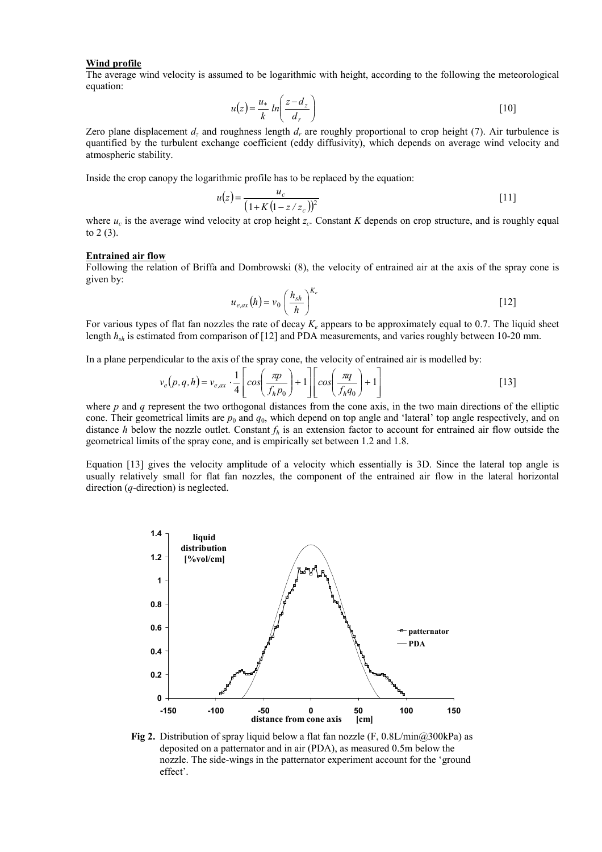#### Wind profile

The average wind velocity is assumed to be logarithmic with height, according to the following the meteorological equation:

$$
u(z) = \frac{u_*}{k} \ln \left( \frac{z - d_z}{d_r} \right) \tag{10}
$$

Zero plane displacement  $d_z$  and roughness length  $d_r$  are roughly proportional to crop height (7). Air turbulence is quantified by the turbulent exchange coefficient (eddy diffusivity), which depends on average wind velocity and atmospheric stability.

Inside the crop canopy the logarithmic profile has to be replaced by the equation:

$$
u(z) = \frac{u_c}{(1 + K(1 - z/z_c))^2}
$$
 [11]

where  $u_c$  is the average wind velocity at crop height  $z_c$ . Constant K depends on crop structure, and is roughly equal to 2 (3).

#### Entrained air flow

Following the relation of Briffa and Dombrowski (8), the velocity of entrained air at the axis of the spray cone is given by:

$$
u_{e,ax}(h) = v_0 \left(\frac{h_{sh}}{h}\right)^{K_e}
$$
 [12]

For various types of flat fan nozzles the rate of decay  $K_e$  appears to be approximately equal to 0.7. The liquid sheet length  $h_{sh}$  is estimated from comparison of [12] and PDA measurements, and varies roughly between 10-20 mm.

In a plane perpendicular to the axis of the spray cone, the velocity of entrained air is modelled by:

$$
v_e(p,q,h) = v_{e,ax} \cdot \frac{1}{4} \left[ \cos\left(\frac{\pi p}{f_h p_0}\right) + 1 \right] \left[ \cos\left(\frac{\pi q}{f_h q_0}\right) + 1 \right]
$$
 [13]

where p and q represent the two orthogonal distances from the cone axis, in the two main directions of the elliptic cone. Their geometrical limits are  $p_0$  and  $q_0$ , which depend on top angle and 'lateral' top angle respectively, and on distance h below the nozzle outlet. Constant  $f_h$  is an extension factor to account for entrained air flow outside the geometrical limits of the spray cone, and is empirically set between 1.2 and 1.8.

Equation [13] gives the velocity amplitude of a velocity which essentially is 3D. Since the lateral top angle is usually relatively small for flat fan nozzles, the component of the entrained air flow in the lateral horizontal direction (*q*-direction) is neglected.



Fig 2. Distribution of spray liquid below a flat fan nozzle (F, 0.8L/min@300kPa) as deposited on a patternator and in air (PDA), as measured 0.5m below the nozzle. The side-wings in the patternator experiment account for the 'ground effect'.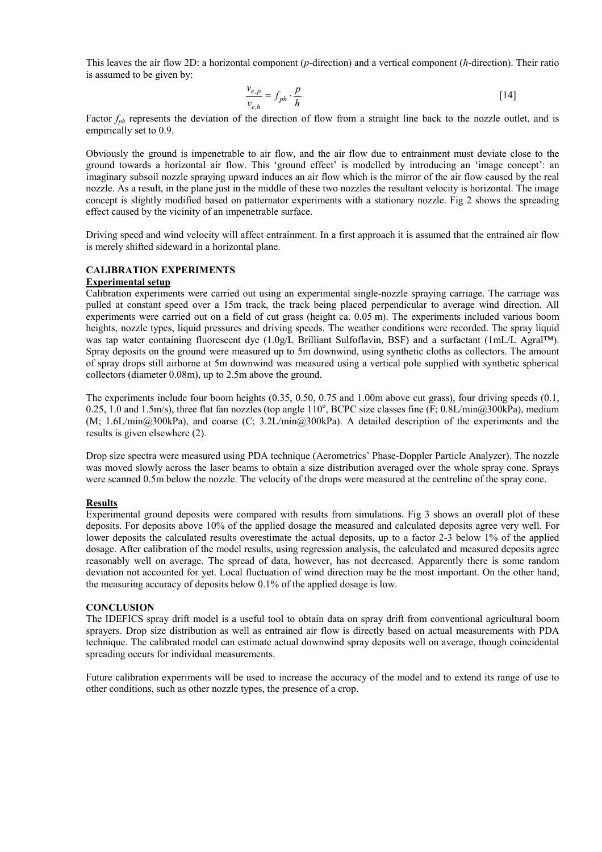This leaves the air flow 2D: a horizontal component (p-direction) and a vertical component (h-direction). Their ratio is assumed to be given by:

$$
\frac{v_{e,p}}{v_{e,h}} = f_{ph} \cdot \frac{p}{h}
$$
 [14]

Factor  $f_{ph}$  represents the deviation of the direction of flow from a straight line back to the nozzle outlet, and is empirically set to 0.9.

Obviously the ground is impenetrable to air flow, and the air flow due to entrainment must deviate close to the ground towards a horizontal air flow. This 'ground effect' is modelled by introducing an 'image concept': an imaginary subsoil nozzle spraying upward induces an air flow which is the mirror of the air flow caused by the real nozzle. As a result, in the plane just in the middle of these two nozzles the resultant velocity is horizontal. The image concept is slightly modified based on patternator experiments with a stationary nozzle. Fig 2 shows the spreading effect caused by the vicinity of an impenetrable surface.

Driving speed and wind velocity will affect entrainment. In a first approach it is assumed that the entrained air flow is merely shifted sideward in a horizontal plane.

## CALIBRATION EXPERIMENTS

### Experimental setup

Calibration experiments were carried out using an experimental single-nozzle spraying carriage. The carriage was pulled at constant speed over a 15m track, the track being placed perpendicular to average wind direction. All experiments were carried out on a field of cut grass (height ca. 0.05 m). The experiments included various boom heights, nozzle types, liquid pressures and driving speeds. The weather conditions were recorded. The spray liquid was tap water containing fluorescent dye (1.0g/L Brilliant Sulfoflavin, BSF) and a surfactant (1mL/L Agral<sup>TM</sup>). Spray deposits on the ground were measured up to 5m downwind, using synthetic cloths as collectors. The amount of spray drops still airborne at 5m downwind was measured using a vertical pole supplied with synthetic spherical collectors (diameter 0.08m), up to 2.5m above the ground.

The experiments include four boom heights (0.35, 0.50, 0.75 and 1.00m above cut grass), four driving speeds (0.1, 0.25, 1.0 and 1.5m/s), three flat fan nozzles (top angle  $110^{\circ}$ , BCPC size classes fine (F; 0.8L/min@300kPa), medium (M; 1.6L/min@300kPa), and coarse (C; 3.2L/min@300kPa). A detailed description of the experiments and the results is given elsewhere (2).

Drop size spectra were measured using PDA technique (Aerometrics' Phase-Doppler Particle Analyzer). The nozzle was moved slowly across the laser beams to obtain a size distribution averaged over the whole spray cone. Sprays were scanned 0.5m below the nozzle. The velocity of the drops were measured at the centreline of the spray cone.

#### Results

Experimental ground deposits were compared with results from simulations. Fig 3 shows an overall plot of these deposits. For deposits above 10% of the applied dosage the measured and calculated deposits agree very well. For lower deposits the calculated results overestimate the actual deposits, up to a factor 2-3 below 1% of the applied dosage. After calibration of the model results, using regression analysis, the calculated and measured deposits agree reasonably well on average. The spread of data, however, has not decreased. Apparently there is some random deviation not accounted for yet. Local fluctuation of wind direction may be the most important. On the other hand, the measuring accuracy of deposits below 0.1% of the applied dosage is low.

#### **CONCLUSION**

The IDEFICS spray drift model is a useful tool to obtain data on spray drift from conventional agricultural boom sprayers. Drop size distribution as well as entrained air flow is directly based on actual measurements with PDA technique. The calibrated model can estimate actual downwind spray deposits well on average, though coincidental spreading occurs for individual measurements.

Future calibration experiments will be used to increase the accuracy of the model and to extend its range of use to other conditions, such as other nozzle types, the presence of a crop.